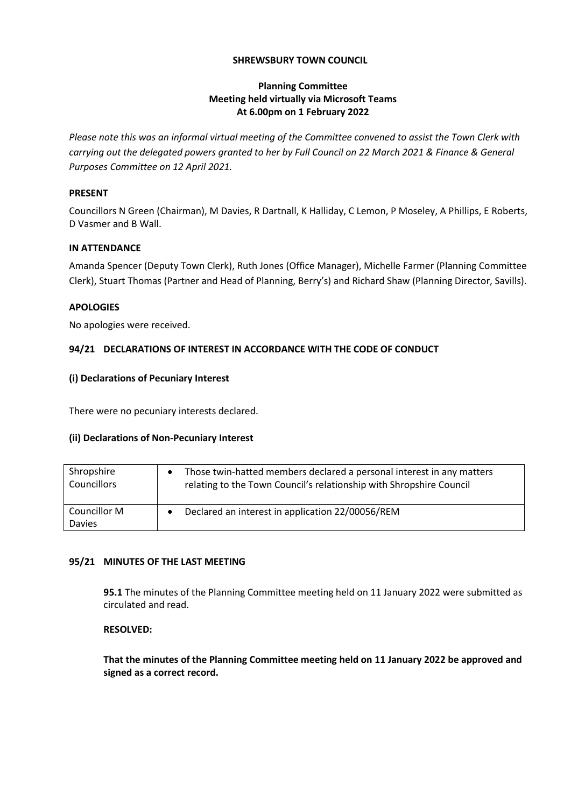## **SHREWSBURY TOWN COUNCIL**

## **Planning Committee Meeting held virtually via Microsoft Teams At 6.00pm on 1 February 2022**

*Please note this was an informal virtual meeting of the Committee convened to assist the Town Clerk with carrying out the delegated powers granted to her by Full Council on 22 March 2021 & Finance & General Purposes Committee on 12 April 2021.*

## **PRESENT**

Councillors N Green (Chairman), M Davies, R Dartnall, K Halliday, C Lemon, P Moseley, A Phillips, E Roberts, D Vasmer and B Wall.

## **IN ATTENDANCE**

Amanda Spencer (Deputy Town Clerk), Ruth Jones (Office Manager), Michelle Farmer (Planning Committee Clerk), Stuart Thomas (Partner and Head of Planning, Berry's) and Richard Shaw (Planning Director, Savills).

### **APOLOGIES**

No apologies were received.

# **94/21 DECLARATIONS OF INTEREST IN ACCORDANCE WITH THE CODE OF CONDUCT**

## **(i) Declarations of Pecuniary Interest**

There were no pecuniary interests declared.

### **(ii) Declarations of Non-Pecuniary Interest**

| Shropshire    | Those twin-hatted members declared a personal interest in any matters |
|---------------|-----------------------------------------------------------------------|
| Councillors   | relating to the Town Council's relationship with Shropshire Council   |
| Councillor M  | Declared an interest in application 22/00056/REM                      |
| <b>Davies</b> | $\bullet$                                                             |

# **95/21 MINUTES OF THE LAST MEETING**

**95.1** The minutes of the Planning Committee meeting held on 11 January 2022 were submitted as circulated and read.

### **RESOLVED:**

**That the minutes of the Planning Committee meeting held on 11 January 2022 be approved and signed as a correct record.**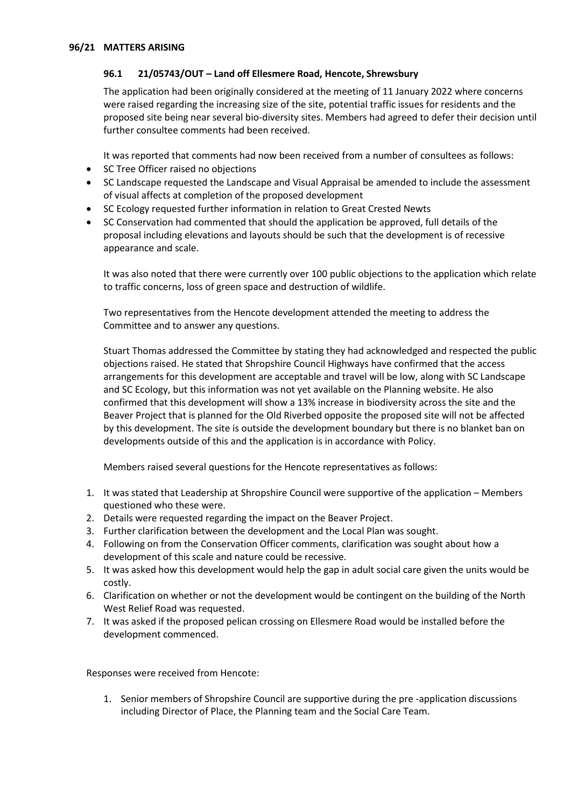## **96.1 21/05743/OUT – Land off Ellesmere Road, Hencote, Shrewsbury**

The application had been originally considered at the meeting of 11 January 2022 where concerns were raised regarding the increasing size of the site, potential traffic issues for residents and the proposed site being near several bio-diversity sites. Members had agreed to defer their decision until further consultee comments had been received.

It was reported that comments had now been received from a number of consultees as follows:

- SC Tree Officer raised no objections
- SC Landscape requested the Landscape and Visual Appraisal be amended to include the assessment of visual affects at completion of the proposed development
- SC Ecology requested further information in relation to Great Crested Newts
- SC Conservation had commented that should the application be approved, full details of the proposal including elevations and layouts should be such that the development is of recessive appearance and scale.

It was also noted that there were currently over 100 public objections to the application which relate to traffic concerns, loss of green space and destruction of wildlife.

Two representatives from the Hencote development attended the meeting to address the Committee and to answer any questions.

Stuart Thomas addressed the Committee by stating they had acknowledged and respected the public objections raised. He stated that Shropshire Council Highways have confirmed that the access arrangements for this development are acceptable and travel will be low, along with SC Landscape and SC Ecology, but this information was not yet available on the Planning website. He also confirmed that this development will show a 13% increase in biodiversity across the site and the Beaver Project that is planned for the Old Riverbed opposite the proposed site will not be affected by this development. The site is outside the development boundary but there is no blanket ban on developments outside of this and the application is in accordance with Policy.

Members raised several questions for the Hencote representatives as follows:

- 1. It was stated that Leadership at Shropshire Council were supportive of the application Members questioned who these were.
- 2. Details were requested regarding the impact on the Beaver Project.
- 3. Further clarification between the development and the Local Plan was sought.
- 4. Following on from the Conservation Officer comments, clarification was sought about how a development of this scale and nature could be recessive.
- 5. It was asked how this development would help the gap in adult social care given the units would be costly.
- 6. Clarification on whether or not the development would be contingent on the building of the North West Relief Road was requested.
- 7. It was asked if the proposed pelican crossing on Ellesmere Road would be installed before the development commenced.

Responses were received from Hencote:

1. Senior members of Shropshire Council are supportive during the pre -application discussions including Director of Place, the Planning team and the Social Care Team.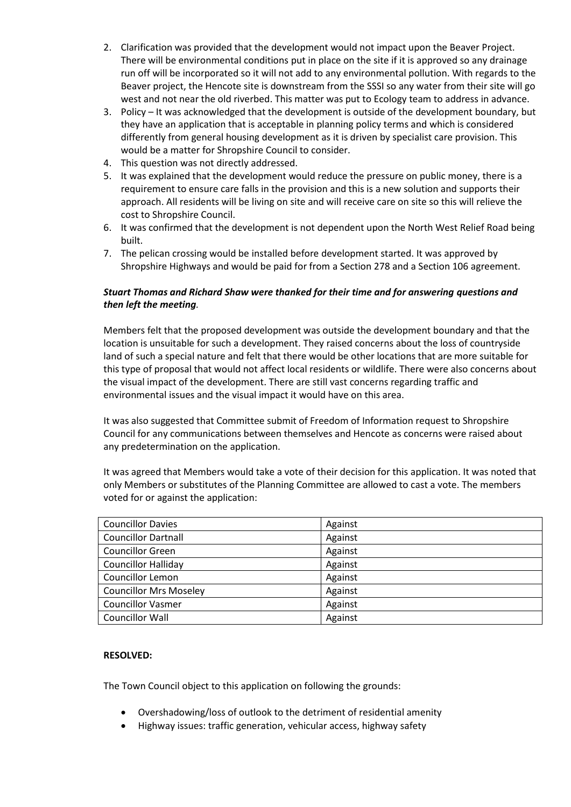- 2. Clarification was provided that the development would not impact upon the Beaver Project. There will be environmental conditions put in place on the site if it is approved so any drainage run off will be incorporated so it will not add to any environmental pollution. With regards to the Beaver project, the Hencote site is downstream from the SSSI so any water from their site will go west and not near the old riverbed. This matter was put to Ecology team to address in advance.
- 3. Policy It was acknowledged that the development is outside of the development boundary, but they have an application that is acceptable in planning policy terms and which is considered differently from general housing development as it is driven by specialist care provision. This would be a matter for Shropshire Council to consider.
- 4. This question was not directly addressed.
- 5. It was explained that the development would reduce the pressure on public money, there is a requirement to ensure care falls in the provision and this is a new solution and supports their approach. All residents will be living on site and will receive care on site so this will relieve the cost to Shropshire Council.
- 6. It was confirmed that the development is not dependent upon the North West Relief Road being built.
- 7. The pelican crossing would be installed before development started. It was approved by Shropshire Highways and would be paid for from a Section 278 and a Section 106 agreement.

# *Stuart Thomas and Richard Shaw were thanked for their time and for answering questions and then left the meeting.*

Members felt that the proposed development was outside the development boundary and that the location is unsuitable for such a development. They raised concerns about the loss of countryside land of such a special nature and felt that there would be other locations that are more suitable for this type of proposal that would not affect local residents or wildlife. There were also concerns about the visual impact of the development. There are still vast concerns regarding traffic and environmental issues and the visual impact it would have on this area.

It was also suggested that Committee submit of Freedom of Information request to Shropshire Council for any communications between themselves and Hencote as concerns were raised about any predetermination on the application.

It was agreed that Members would take a vote of their decision for this application. It was noted that only Members or substitutes of the Planning Committee are allowed to cast a vote. The members voted for or against the application:

| <b>Councillor Davies</b>      | Against |
|-------------------------------|---------|
| <b>Councillor Dartnall</b>    | Against |
| <b>Councillor Green</b>       | Against |
| <b>Councillor Halliday</b>    | Against |
| <b>Councillor Lemon</b>       | Against |
| <b>Councillor Mrs Moseley</b> | Against |
| <b>Councillor Vasmer</b>      | Against |
| <b>Councillor Wall</b>        | Against |

### **RESOLVED:**

The Town Council object to this application on following the grounds:

- Overshadowing/loss of outlook to the detriment of residential amenity
- Highway issues: traffic generation, vehicular access, highway safety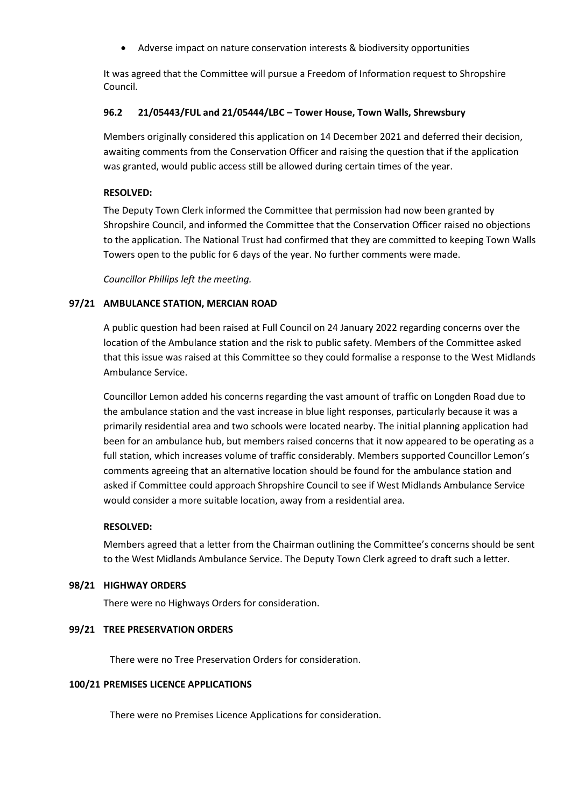• Adverse impact on nature conservation interests & biodiversity opportunities

It was agreed that the Committee will pursue a Freedom of Information request to Shropshire Council.

## **96.2 21/05443/FUL and 21/05444/LBC – Tower House, Town Walls, Shrewsbury**

Members originally considered this application on 14 December 2021 and deferred their decision, awaiting comments from the Conservation Officer and raising the question that if the application was granted, would public access still be allowed during certain times of the year.

## **RESOLVED:**

The Deputy Town Clerk informed the Committee that permission had now been granted by Shropshire Council, and informed the Committee that the Conservation Officer raised no objections to the application. The National Trust had confirmed that they are committed to keeping Town Walls Towers open to the public for 6 days of the year. No further comments were made.

*Councillor Phillips left the meeting.*

## **97/21 AMBULANCE STATION, MERCIAN ROAD**

A public question had been raised at Full Council on 24 January 2022 regarding concerns over the location of the Ambulance station and the risk to public safety. Members of the Committee asked that this issue was raised at this Committee so they could formalise a response to the West Midlands Ambulance Service.

Councillor Lemon added his concerns regarding the vast amount of traffic on Longden Road due to the ambulance station and the vast increase in blue light responses, particularly because it was a primarily residential area and two schools were located nearby. The initial planning application had been for an ambulance hub, but members raised concerns that it now appeared to be operating as a full station, which increases volume of traffic considerably. Members supported Councillor Lemon's comments agreeing that an alternative location should be found for the ambulance station and asked if Committee could approach Shropshire Council to see if West Midlands Ambulance Service would consider a more suitable location, away from a residential area.

### **RESOLVED:**

Members agreed that a letter from the Chairman outlining the Committee's concerns should be sent to the West Midlands Ambulance Service. The Deputy Town Clerk agreed to draft such a letter.

### **98/21 HIGHWAY ORDERS**

There were no Highways Orders for consideration.

### **99/21 TREE PRESERVATION ORDERS**

There were no Tree Preservation Orders for consideration.

### **100/21 PREMISES LICENCE APPLICATIONS**

There were no Premises Licence Applications for consideration.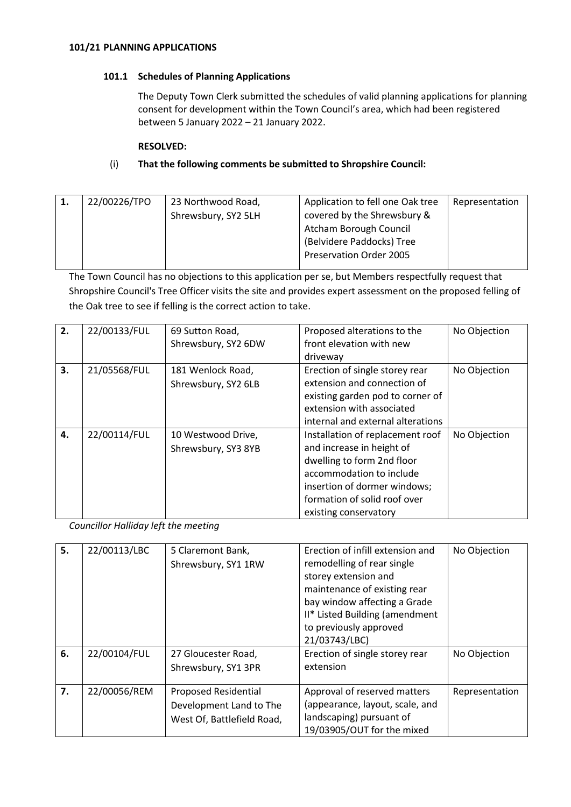## **101.1 Schedules of Planning Applications**

The Deputy Town Clerk submitted the schedules of valid planning applications for planning consent for development within the Town Council's area, which had been registered between 5 January 2022 – 21 January 2022.

### **RESOLVED:**

## (i) **That the following comments be submitted to Shropshire Council:**

| 1. | 22/00226/TPO | 23 Northwood Road,  | Application to fell one Oak tree | Representation |
|----|--------------|---------------------|----------------------------------|----------------|
|    |              | Shrewsbury, SY2 5LH | covered by the Shrewsbury &      |                |
|    |              |                     | Atcham Borough Council           |                |
|    |              |                     | (Belvidere Paddocks) Tree        |                |
|    |              |                     | Preservation Order 2005          |                |
|    |              |                     |                                  |                |

The Town Council has no objections to this application per se, but Members respectfully request that Shropshire Council's Tree Officer visits the site and provides expert assessment on the proposed felling of the Oak tree to see if felling is the correct action to take.

| 2. | 22/00133/FUL | 69 Sutton Road,<br>Shrewsbury, SY2 6DW    | Proposed alterations to the<br>front elevation with new<br>driveway                                                                                                                                              | No Objection |
|----|--------------|-------------------------------------------|------------------------------------------------------------------------------------------------------------------------------------------------------------------------------------------------------------------|--------------|
| 3. | 21/05568/FUL | 181 Wenlock Road,<br>Shrewsbury, SY2 6LB  | Erection of single storey rear<br>extension and connection of<br>existing garden pod to corner of<br>extension with associated<br>internal and external alterations                                              | No Objection |
| 4. | 22/00114/FUL | 10 Westwood Drive,<br>Shrewsbury, SY3 8YB | Installation of replacement roof<br>and increase in height of<br>dwelling to form 2nd floor<br>accommodation to include<br>insertion of dormer windows;<br>formation of solid roof over<br>existing conservatory | No Objection |

*Councillor Halliday left the meeting*

| 5. | 22/00113/LBC | 5 Claremont Bank,<br>Shrewsbury, SY1 1RW | Erection of infill extension and<br>remodelling of rear single<br>storey extension and<br>maintenance of existing rear<br>bay window affecting a Grade<br>II* Listed Building (amendment | No Objection   |
|----|--------------|------------------------------------------|------------------------------------------------------------------------------------------------------------------------------------------------------------------------------------------|----------------|
|    |              |                                          | to previously approved<br>21/03743/LBC)                                                                                                                                                  |                |
| 6. | 22/00104/FUL | 27 Gloucester Road,                      | Erection of single storey rear                                                                                                                                                           | No Objection   |
|    |              | Shrewsbury, SY1 3PR                      | extension                                                                                                                                                                                |                |
| 7. | 22/00056/REM | Proposed Residential                     | Approval of reserved matters                                                                                                                                                             | Representation |
|    |              | Development Land to The                  | (appearance, layout, scale, and                                                                                                                                                          |                |
|    |              | West Of, Battlefield Road,               | landscaping) pursuant of                                                                                                                                                                 |                |
|    |              |                                          | 19/03905/OUT for the mixed                                                                                                                                                               |                |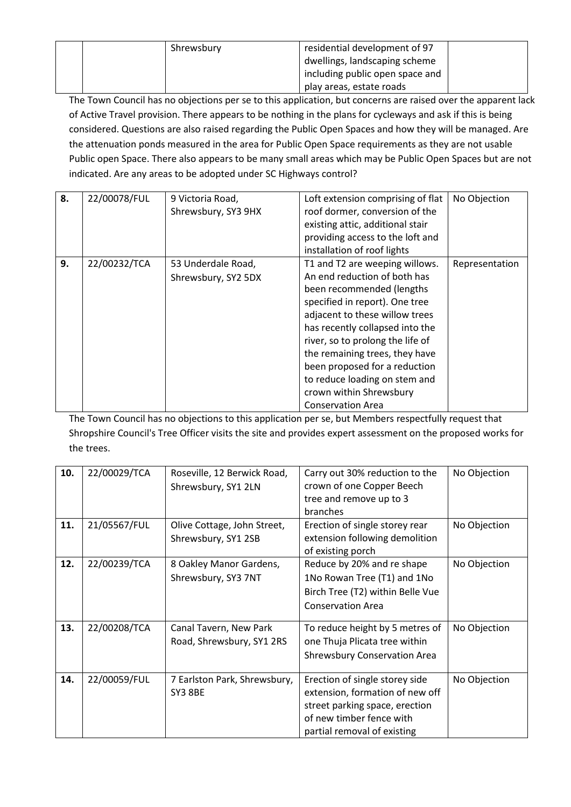|  | Shrewsbury | residential development of 97   |  |
|--|------------|---------------------------------|--|
|  |            | dwellings, landscaping scheme   |  |
|  |            | including public open space and |  |
|  |            | play areas, estate roads        |  |

The Town Council has no objections per se to this application, but concerns are raised over the apparent lack of Active Travel provision. There appears to be nothing in the plans for cycleways and ask if this is being considered. Questions are also raised regarding the Public Open Spaces and how they will be managed. Are the attenuation ponds measured in the area for Public Open Space requirements as they are not usable Public open Space. There also appears to be many small areas which may be Public Open Spaces but are not indicated. Are any areas to be adopted under SC Highways control?

| 8. | 22/00078/FUL | 9 Victoria Road,    | Loft extension comprising of flat | No Objection   |
|----|--------------|---------------------|-----------------------------------|----------------|
|    |              | Shrewsbury, SY3 9HX | roof dormer, conversion of the    |                |
|    |              |                     | existing attic, additional stair  |                |
|    |              |                     | providing access to the loft and  |                |
|    |              |                     | installation of roof lights       |                |
| 9. | 22/00232/TCA | 53 Underdale Road,  | T1 and T2 are weeping willows.    | Representation |
|    |              | Shrewsbury, SY2 5DX | An end reduction of both has      |                |
|    |              |                     | been recommended (lengths         |                |
|    |              |                     | specified in report). One tree    |                |
|    |              |                     | adjacent to these willow trees    |                |
|    |              |                     | has recently collapsed into the   |                |
|    |              |                     | river, so to prolong the life of  |                |
|    |              |                     | the remaining trees, they have    |                |
|    |              |                     | been proposed for a reduction     |                |
|    |              |                     | to reduce loading on stem and     |                |
|    |              |                     | crown within Shrewsbury           |                |
|    |              |                     | <b>Conservation Area</b>          |                |

The Town Council has no objections to this application per se, but Members respectfully request that Shropshire Council's Tree Officer visits the site and provides expert assessment on the proposed works for the trees.

| 10. | 22/00029/TCA | Roseville, 12 Berwick Road,<br>Shrewsbury, SY1 2LN  | Carry out 30% reduction to the<br>crown of one Copper Beech<br>tree and remove up to 3<br>branches                                                             | No Objection |
|-----|--------------|-----------------------------------------------------|----------------------------------------------------------------------------------------------------------------------------------------------------------------|--------------|
| 11. | 21/05567/FUL | Olive Cottage, John Street,<br>Shrewsbury, SY1 2SB  | Erection of single storey rear<br>extension following demolition<br>of existing porch                                                                          | No Objection |
| 12. | 22/00239/TCA | 8 Oakley Manor Gardens,<br>Shrewsbury, SY3 7NT      | Reduce by 20% and re shape<br>1No Rowan Tree (T1) and 1No<br>Birch Tree (T2) within Belle Vue<br><b>Conservation Area</b>                                      | No Objection |
| 13. | 22/00208/TCA | Canal Tavern, New Park<br>Road, Shrewsbury, SY1 2RS | To reduce height by 5 metres of<br>one Thuja Plicata tree within<br><b>Shrewsbury Conservation Area</b>                                                        | No Objection |
| 14. | 22/00059/FUL | 7 Earlston Park, Shrewsbury,<br>SY3 8BE             | Erection of single storey side<br>extension, formation of new off<br>street parking space, erection<br>of new timber fence with<br>partial removal of existing | No Objection |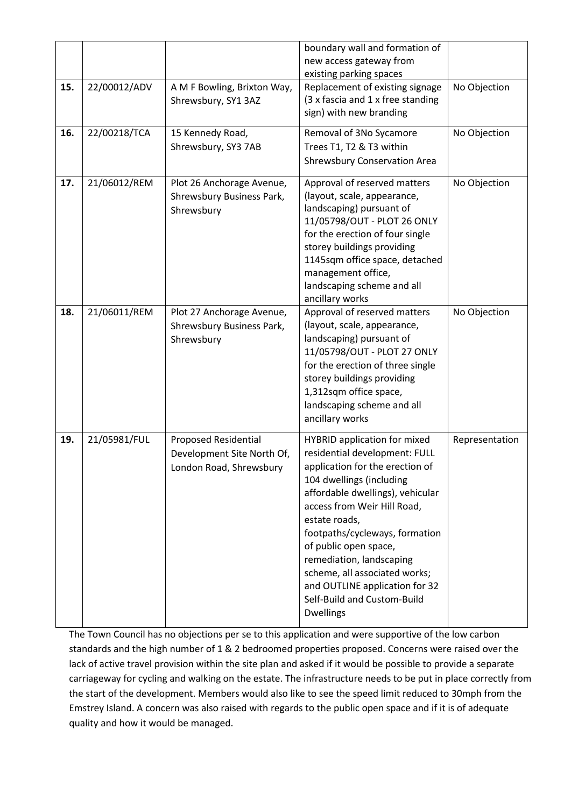|     |              |                                                                                      | boundary wall and formation of<br>new access gateway from<br>existing parking spaces                                                                                                                                                                                                                                                                                                                                                 |                |
|-----|--------------|--------------------------------------------------------------------------------------|--------------------------------------------------------------------------------------------------------------------------------------------------------------------------------------------------------------------------------------------------------------------------------------------------------------------------------------------------------------------------------------------------------------------------------------|----------------|
| 15. | 22/00012/ADV | A M F Bowling, Brixton Way,<br>Shrewsbury, SY1 3AZ                                   | Replacement of existing signage<br>(3 x fascia and 1 x free standing<br>sign) with new branding                                                                                                                                                                                                                                                                                                                                      | No Objection   |
| 16. | 22/00218/TCA | 15 Kennedy Road,<br>Shrewsbury, SY3 7AB                                              | Removal of 3No Sycamore<br>Trees T1, T2 & T3 within<br><b>Shrewsbury Conservation Area</b>                                                                                                                                                                                                                                                                                                                                           | No Objection   |
| 17. | 21/06012/REM | Plot 26 Anchorage Avenue,<br>Shrewsbury Business Park,<br>Shrewsbury                 | Approval of reserved matters<br>(layout, scale, appearance,<br>landscaping) pursuant of<br>11/05798/OUT - PLOT 26 ONLY<br>for the erection of four single<br>storey buildings providing<br>1145sqm office space, detached<br>management office,<br>landscaping scheme and all<br>ancillary works                                                                                                                                     | No Objection   |
| 18. | 21/06011/REM | Plot 27 Anchorage Avenue,<br>Shrewsbury Business Park,<br>Shrewsbury                 | Approval of reserved matters<br>(layout, scale, appearance,<br>landscaping) pursuant of<br>11/05798/OUT - PLOT 27 ONLY<br>for the erection of three single<br>storey buildings providing<br>1,312sqm office space,<br>landscaping scheme and all<br>ancillary works                                                                                                                                                                  | No Objection   |
| 19. | 21/05981/FUL | <b>Proposed Residential</b><br>Development Site North Of,<br>London Road, Shrewsbury | <b>HYBRID</b> application for mixed<br>residential development: FULL<br>application for the erection of<br>104 dwellings (including<br>affordable dwellings), vehicular<br>access from Weir Hill Road,<br>estate roads,<br>footpaths/cycleways, formation<br>of public open space,<br>remediation, landscaping<br>scheme, all associated works;<br>and OUTLINE application for 32<br>Self-Build and Custom-Build<br><b>Dwellings</b> | Representation |

The Town Council has no objections per se to this application and were supportive of the low carbon standards and the high number of 1 & 2 bedroomed properties proposed. Concerns were raised over the lack of active travel provision within the site plan and asked if it would be possible to provide a separate carriageway for cycling and walking on the estate. The infrastructure needs to be put in place correctly from the start of the development. Members would also like to see the speed limit reduced to 30mph from the Emstrey Island. A concern was also raised with regards to the public open space and if it is of adequate quality and how it would be managed.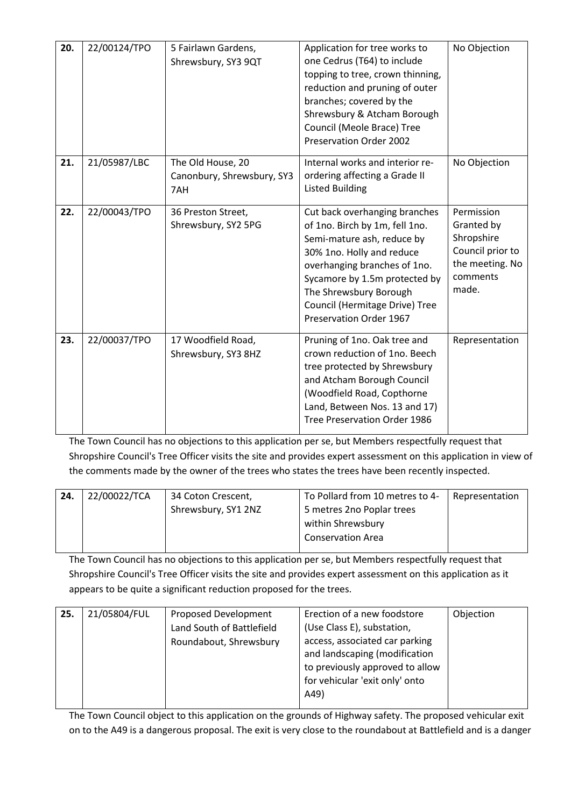| 20. | 22/00124/TPO | 5 Fairlawn Gardens,<br>Shrewsbury, SY3 9QT             | Application for tree works to<br>one Cedrus (T64) to include<br>topping to tree, crown thinning,<br>reduction and pruning of outer<br>branches; covered by the<br>Shrewsbury & Atcham Borough<br>Council (Meole Brace) Tree<br>Preservation Order 2002                             | No Objection                                                                                       |
|-----|--------------|--------------------------------------------------------|------------------------------------------------------------------------------------------------------------------------------------------------------------------------------------------------------------------------------------------------------------------------------------|----------------------------------------------------------------------------------------------------|
| 21. | 21/05987/LBC | The Old House, 20<br>Canonbury, Shrewsbury, SY3<br>7AH | Internal works and interior re-<br>ordering affecting a Grade II<br><b>Listed Building</b>                                                                                                                                                                                         | No Objection                                                                                       |
| 22. | 22/00043/TPO | 36 Preston Street,<br>Shrewsbury, SY2 5PG              | Cut back overhanging branches<br>of 1no. Birch by 1m, fell 1no.<br>Semi-mature ash, reduce by<br>30% 1no. Holly and reduce<br>overhanging branches of 1no.<br>Sycamore by 1.5m protected by<br>The Shrewsbury Borough<br>Council (Hermitage Drive) Tree<br>Preservation Order 1967 | Permission<br>Granted by<br>Shropshire<br>Council prior to<br>the meeting. No<br>comments<br>made. |
| 23. | 22/00037/TPO | 17 Woodfield Road,<br>Shrewsbury, SY3 8HZ              | Pruning of 1no. Oak tree and<br>crown reduction of 1no. Beech<br>tree protected by Shrewsbury<br>and Atcham Borough Council<br>(Woodfield Road, Copthorne<br>Land, Between Nos. 13 and 17)<br>Tree Preservation Order 1986                                                         | Representation                                                                                     |

The Town Council has no objections to this application per se, but Members respectfully request that Shropshire Council's Tree Officer visits the site and provides expert assessment on this application in view of the comments made by the owner of the trees who states the trees have been recently inspected.

| 24. | 22/00022/TCA | 34 Coton Crescent,  | To Pollard from 10 metres to 4- | Representation |
|-----|--------------|---------------------|---------------------------------|----------------|
|     |              | Shrewsbury, SY1 2NZ | 5 metres 2no Poplar trees       |                |
|     |              |                     | within Shrewsbury               |                |
|     |              |                     | <b>Conservation Area</b>        |                |
|     |              |                     |                                 |                |

The Town Council has no objections to this application per se, but Members respectfully request that Shropshire Council's Tree Officer visits the site and provides expert assessment on this application as it appears to be quite a significant reduction proposed for the trees.

| 25. | 21/05804/FUL | Proposed Development      | Erection of a new foodstore                                       | Objection |
|-----|--------------|---------------------------|-------------------------------------------------------------------|-----------|
|     |              | Land South of Battlefield | (Use Class E), substation,                                        |           |
|     |              | Roundabout, Shrewsbury    | access, associated car parking<br>and landscaping (modification   |           |
|     |              |                           | to previously approved to allow<br>for vehicular 'exit only' onto |           |
|     |              |                           | A49)                                                              |           |

The Town Council object to this application on the grounds of Highway safety. The proposed vehicular exit on to the A49 is a dangerous proposal. The exit is very close to the roundabout at Battlefield and is a danger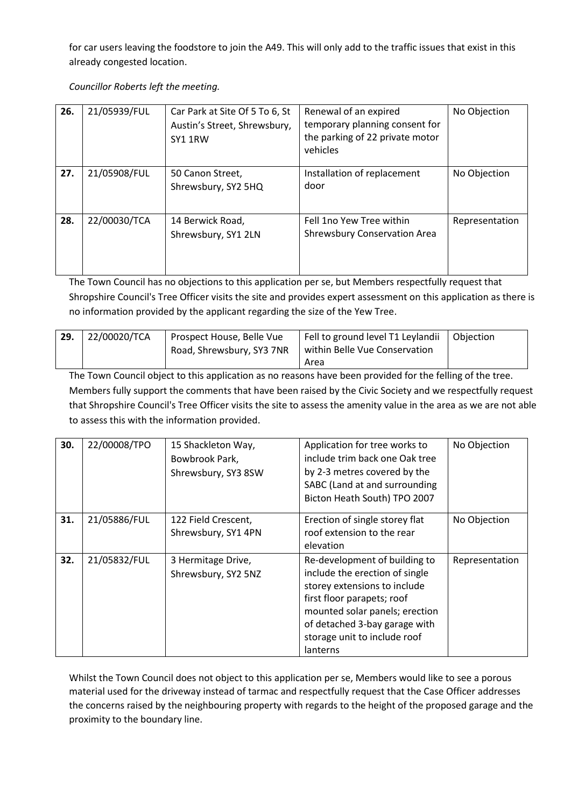for car users leaving the foodstore to join the A49. This will only add to the traffic issues that exist in this already congested location.

*Councillor Roberts left the meeting.*

| 26. | 21/05939/FUL | Car Park at Site Of 5 To 6, St<br>Austin's Street, Shrewsbury,<br>SY1 1RW | Renewal of an expired<br>temporary planning consent for<br>the parking of 22 private motor<br>vehicles | No Objection   |
|-----|--------------|---------------------------------------------------------------------------|--------------------------------------------------------------------------------------------------------|----------------|
| 27. | 21/05908/FUL | 50 Canon Street,<br>Shrewsbury, SY2 5HQ                                   | Installation of replacement<br>door                                                                    | No Objection   |
| 28. | 22/00030/TCA | 14 Berwick Road,<br>Shrewsbury, SY1 2LN                                   | Fell 1no Yew Tree within<br><b>Shrewsbury Conservation Area</b>                                        | Representation |

The Town Council has no objections to this application per se, but Members respectfully request that Shropshire Council's Tree Officer visits the site and provides expert assessment on this application as there is no information provided by the applicant regarding the size of the Yew Tree.

| 29. | 22/00020/TCA | I Prospect House, Belle Vue | Fell to ground level T1 Leylandii   Objection |  |
|-----|--------------|-----------------------------|-----------------------------------------------|--|
|     |              | Road, Shrewsbury, SY3 7NR   | within Belle Vue Conservation                 |  |
|     |              |                             | Area                                          |  |

The Town Council object to this application as no reasons have been provided for the felling of the tree. Members fully support the comments that have been raised by the Civic Society and we respectfully request that Shropshire Council's Tree Officer visits the site to assess the amenity value in the area as we are not able to assess this with the information provided.

| 30. | 22/00008/TPO | 15 Shackleton Way,<br>Bowbrook Park,<br>Shrewsbury, SY3 8SW | Application for tree works to<br>include trim back one Oak tree<br>by 2-3 metres covered by the<br>SABC (Land at and surrounding<br>Bicton Heath South) TPO 2007                                                                             | No Objection   |
|-----|--------------|-------------------------------------------------------------|----------------------------------------------------------------------------------------------------------------------------------------------------------------------------------------------------------------------------------------------|----------------|
| 31. | 21/05886/FUL | 122 Field Crescent,<br>Shrewsbury, SY1 4PN                  | Erection of single storey flat<br>roof extension to the rear<br>elevation                                                                                                                                                                    | No Objection   |
| 32. | 21/05832/FUL | 3 Hermitage Drive,<br>Shrewsbury, SY2 5NZ                   | Re-development of building to<br>include the erection of single<br>storey extensions to include<br>first floor parapets; roof<br>mounted solar panels; erection<br>of detached 3-bay garage with<br>storage unit to include roof<br>lanterns | Representation |

Whilst the Town Council does not object to this application per se, Members would like to see a porous material used for the driveway instead of tarmac and respectfully request that the Case Officer addresses the concerns raised by the neighbouring property with regards to the height of the proposed garage and the proximity to the boundary line.